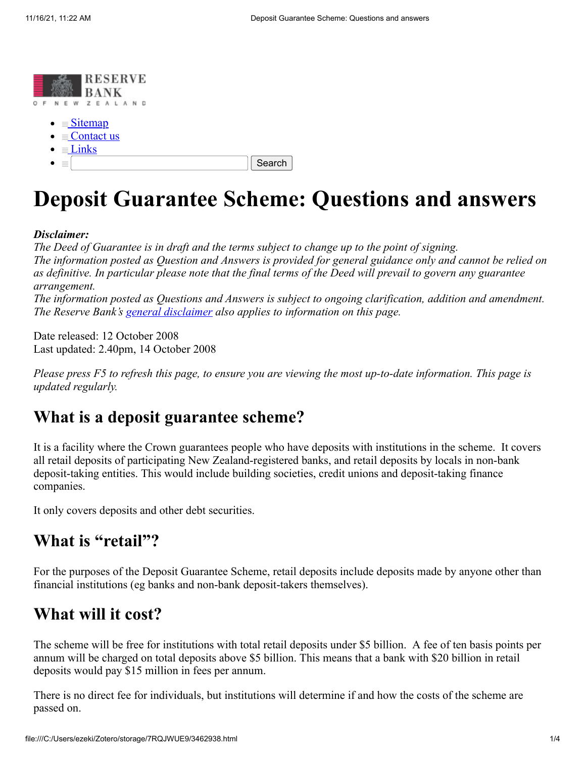

- $\bullet \equiv$  [Sitemap](https://web.archive.org/web/20081014133953/http://www.rbnz.govt.nz/map.html)
- $\bullet \equiv$  [Contact us](https://web.archive.org/web/20081014133953/http://www.rbnz.govt.nz/contact.html)
- $\bullet \equiv$  [Links](https://web.archive.org/web/20081014133953/http://www.rbnz.govt.nz/0096282.html)
- $\bullet$  =

Search

# **Deposit Guarantee Scheme: Questions and answers**

#### *Disclaimer:*

*The Deed of Guarantee is in draft and the terms subject to change up to the point of signing. The information posted as Question and Answers is provided for general guidance only and cannot be relied on as definitive. In particular please note that the final terms of the Deed will prevail to govern any guarantee arrangement.*

*The information posted as Questions and Answers is subject to ongoing clarification, addition and amendment. The Reserve Bank's [general disclaimer](https://web.archive.org/web/20081014133953/http://www.rbnz.govt.nz/0161310.html) also applies to information on this page.*

Date released: 12 October 2008 Last updated: 2.40pm, 14 October 2008

*Please press F5 to refresh this page, to ensure you are viewing the most up-to-date information. This page is updated regularly.*

#### **What is a deposit guarantee scheme?**

It is a facility where the Crown guarantees people who have deposits with institutions in the scheme. It covers all retail deposits of participating New Zealand-registered banks, and retail deposits by locals in non-bank deposit-taking entities. This would include building societies, credit unions and deposit-taking finance companies.

It only covers deposits and other debt securities.

#### **What is "retail"?**

For the purposes of the Deposit Guarantee Scheme, retail deposits include deposits made by anyone other than financial institutions (eg banks and non-bank deposit-takers themselves).

#### **What will it cost?**

The scheme will be free for institutions with total retail deposits under \$5 billion. A fee of ten basis points per annum will be charged on total deposits above \$5 billion. This means that a bank with \$20 billion in retail deposits would pay \$15 million in fees per annum.

There is no direct fee for individuals, but institutions will determine if and how the costs of the scheme are passed on.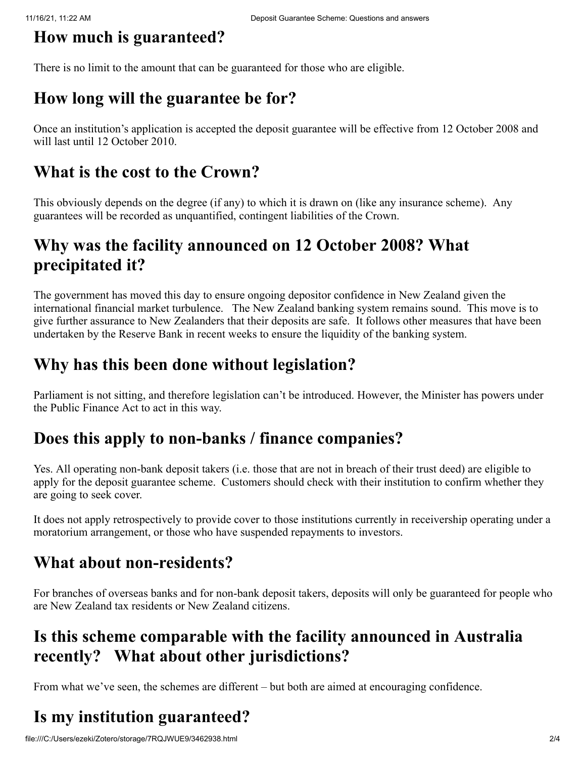# **How much is guaranteed?**

There is no limit to the amount that can be guaranteed for those who are eligible.

### **How long will the guarantee be for?**

Once an institution's application is accepted the deposit guarantee will be effective from 12 October 2008 and will last until 12 October 2010.

#### **What is the cost to the Crown?**

This obviously depends on the degree (if any) to which it is drawn on (like any insurance scheme). Any guarantees will be recorded as unquantified, contingent liabilities of the Crown.

### **Why was the facility announced on 12 October 2008? What precipitated it?**

The government has moved this day to ensure ongoing depositor confidence in New Zealand given the international financial market turbulence. The New Zealand banking system remains sound. This move is to give further assurance to New Zealanders that their deposits are safe. It follows other measures that have been undertaken by the Reserve Bank in recent weeks to ensure the liquidity of the banking system.

## **Why has this been done without legislation?**

Parliament is not sitting, and therefore legislation can't be introduced. However, the Minister has powers under the Public Finance Act to act in this way.

### **Does this apply to non-banks / finance companies?**

Yes. All operating non-bank deposit takers (i.e. those that are not in breach of their trust deed) are eligible to apply for the deposit guarantee scheme. Customers should check with their institution to confirm whether they are going to seek cover.

It does not apply retrospectively to provide cover to those institutions currently in receivership operating under a moratorium arrangement, or those who have suspended repayments to investors.

# **What about non-residents?**

For branches of overseas banks and for non-bank deposit takers, deposits will only be guaranteed for people who are New Zealand tax residents or New Zealand citizens.

### **Is this scheme comparable with the facility announced in Australia recently? What about other jurisdictions?**

From what we've seen, the schemes are different – but both are aimed at encouraging confidence.

# **Is my institution guaranteed?**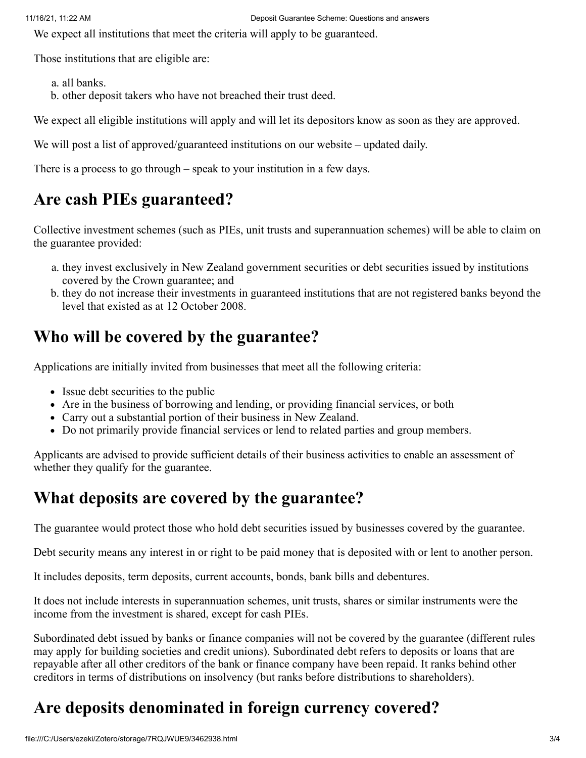We expect all institutions that meet the criteria will apply to be guaranteed.

Those institutions that are eligible are:

a. all banks.

b. other deposit takers who have not breached their trust deed.

We expect all eligible institutions will apply and will let its depositors know as soon as they are approved.

We will post a list of approved/guaranteed institutions on our website – updated daily.

There is a process to go through – speak to your institution in a few days.

#### **Are cash PIEs guaranteed?**

Collective investment schemes (such as PIEs, unit trusts and superannuation schemes) will be able to claim on the guarantee provided:

- a. they invest exclusively in New Zealand government securities or debt securities issued by institutions covered by the Crown guarantee; and
- b. they do not increase their investments in guaranteed institutions that are not registered banks beyond the level that existed as at 12 October 2008.

#### **Who will be covered by the guarantee?**

Applications are initially invited from businesses that meet all the following criteria:

- Issue debt securities to the public
- Are in the business of borrowing and lending, or providing financial services, or both
- Carry out a substantial portion of their business in New Zealand.
- Do not primarily provide financial services or lend to related parties and group members.

Applicants are advised to provide sufficient details of their business activities to enable an assessment of whether they qualify for the guarantee.

#### **What deposits are covered by the guarantee?**

The guarantee would protect those who hold debt securities issued by businesses covered by the guarantee.

Debt security means any interest in or right to be paid money that is deposited with or lent to another person.

It includes deposits, term deposits, current accounts, bonds, bank bills and debentures.

It does not include interests in superannuation schemes, unit trusts, shares or similar instruments were the income from the investment is shared, except for cash PIEs.

Subordinated debt issued by banks or finance companies will not be covered by the guarantee (different rules may apply for building societies and credit unions). Subordinated debt refers to deposits or loans that are repayable after all other creditors of the bank or finance company have been repaid. It ranks behind other creditors in terms of distributions on insolvency (but ranks before distributions to shareholders).

# **Are deposits denominated in foreign currency covered?**